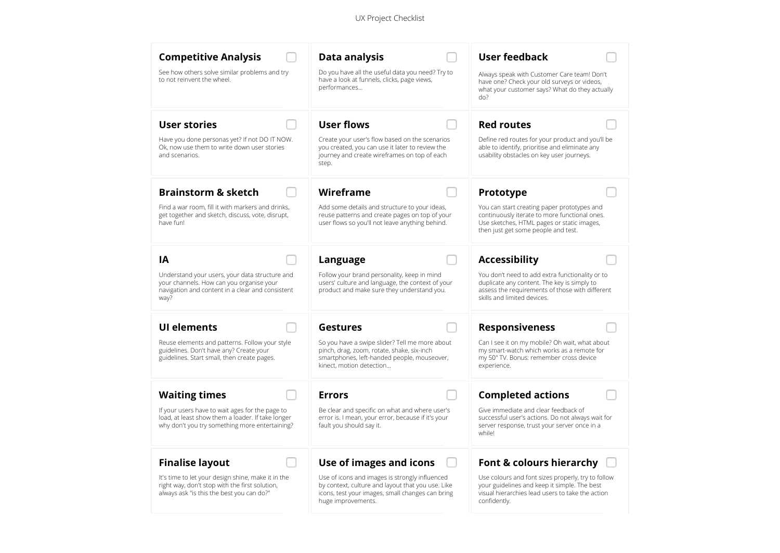| <b>Competitive Analysis</b>                                                                                                                            | Data analysis                                                                                                                                                                 | <b>User feedback</b>                                                                                                                                                              |
|--------------------------------------------------------------------------------------------------------------------------------------------------------|-------------------------------------------------------------------------------------------------------------------------------------------------------------------------------|-----------------------------------------------------------------------------------------------------------------------------------------------------------------------------------|
| See how others solve similar problems and try<br>to not reinvent the wheel.                                                                            | Do you have all the useful data you need? Try to<br>have a look at funnels, clicks, page views,<br>performances                                                               | Always speak with Customer Care team! Don't<br>have one? Check your old surveys or videos,<br>what your customer says? What do they actually<br>do?                               |
| <b>User stories</b><br>Have you done personas yet? If not DO IT NOW.<br>Ok, now use them to write down user stories<br>and scenarios.                  | <b>User flows</b><br>Create your user's flow based on the scenarios<br>you created, you can use it later to review the<br>journey and create wireframes on top of each        | <b>Red routes</b><br>Define red routes for your product and you'll be<br>able to identify, prioritise and eliminate any<br>usability obstacles on key user journeys.              |
| <b>Brainstorm &amp; sketch</b>                                                                                                                         | step.<br>Wireframe                                                                                                                                                            | Prototype                                                                                                                                                                         |
| Find a war room, fill it with markers and drinks,<br>get together and sketch, discuss, vote, disrupt,<br>have fun!                                     | Add some details and structure to your ideas,<br>reuse patterns and create pages on top of your<br>user flows so you'll not leave anything behind.                            | You can start creating paper prototypes and<br>continuously iterate to more functional ones.<br>Use sketches, HTML pages or static images,<br>then just get some people and test. |
| ΙA                                                                                                                                                     | Language                                                                                                                                                                      | <b>Accessibility</b>                                                                                                                                                              |
| Understand your users, your data structure and<br>your channels. How can you organise your<br>navigation and content in a clear and consistent<br>way? | Follow your brand personality, keep in mind<br>users' culture and language, the context of your<br>product and make sure they understand you.                                 | You don't need to add extra functionality or to<br>duplicate any content. The key is simply to<br>assess the requirements of those with different<br>skills and limited devices.  |
| <b>UI elements</b>                                                                                                                                     | Gestures                                                                                                                                                                      | <b>Responsiveness</b>                                                                                                                                                             |
| Reuse elements and patterns. Follow your style<br>guidelines. Don't have any? Create your<br>guidelines. Start small, then create pages.               | So you have a swipe slider? Tell me more about<br>pinch, drag, zoom, rotate, shake, six-inch<br>smartphones, left-handed people, mouseover,<br>kinect, motion detection       | Can I see it on my mobile? Oh wait, what about<br>my smart-watch which works as a remote for<br>my 50" TV. Bonus: remember cross device<br>experience.                            |
| <b>Waiting times</b>                                                                                                                                   | <b>Errors</b>                                                                                                                                                                 | <b>Completed actions</b>                                                                                                                                                          |
| If your users have to wait ages for the page to<br>load, at least show them a loader. If take longer<br>why don't you try something more entertaining? | Be clear and specific on what and where user's<br>error is. I mean, your error, because if it's your<br>fault you should say it.                                              | Give immediate and clear feedback of<br>successful user's actions. Do not always wait for<br>server response, trust your server once in a<br>while!                               |
| <b>Finalise layout</b>                                                                                                                                 | Use of images and icons                                                                                                                                                       | Font & colours hierarchy                                                                                                                                                          |
| It's time to let your design shine, make it in the<br>right way, don't stop with the first solution,<br>always ask "is this the best you can do?"      | Use of icons and images is strongly influenced<br>by context, culture and layout that you use. Like<br>icons, test your images, small changes can bring<br>huge improvements. | Use colours and font sizes properly, try to follow<br>your guidelines and keep it simple. The best<br>visual hierarchies lead users to take the action<br>confidently.            |